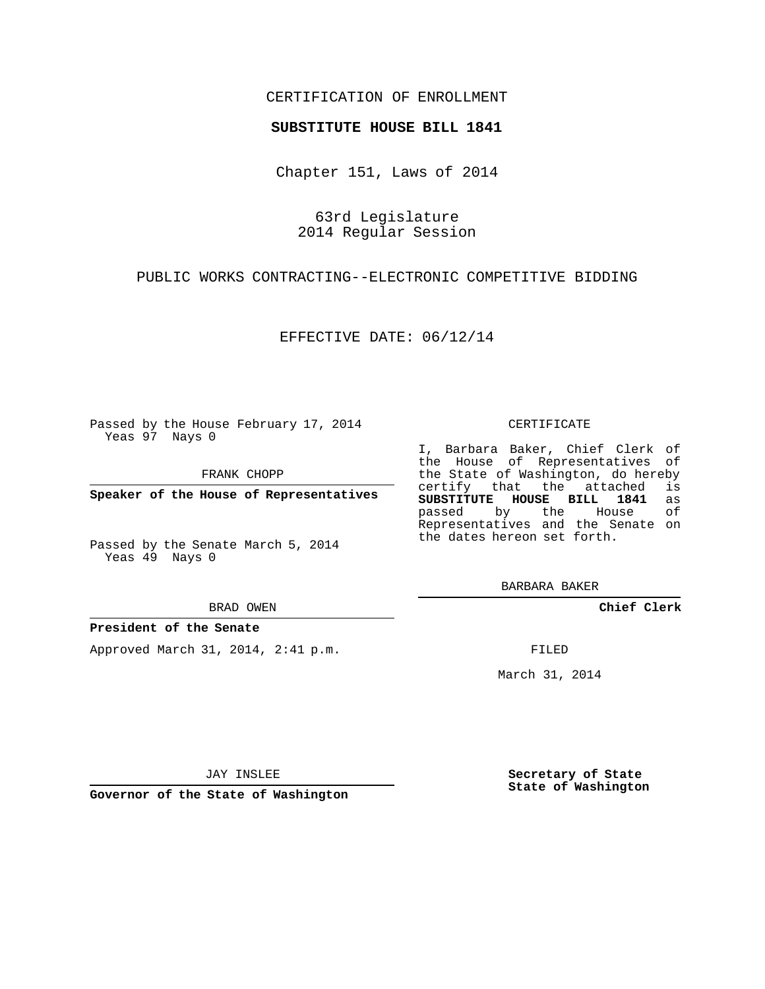### CERTIFICATION OF ENROLLMENT

#### **SUBSTITUTE HOUSE BILL 1841**

Chapter 151, Laws of 2014

63rd Legislature 2014 Regular Session

PUBLIC WORKS CONTRACTING--ELECTRONIC COMPETITIVE BIDDING

EFFECTIVE DATE: 06/12/14

Passed by the House February 17, 2014 Yeas 97 Nays 0

FRANK CHOPP

**Speaker of the House of Representatives**

Passed by the Senate March 5, 2014 Yeas 49 Nays 0

BRAD OWEN

#### **President of the Senate**

Approved March 31, 2014, 2:41 p.m.

CERTIFICATE

I, Barbara Baker, Chief Clerk of the House of Representatives of the State of Washington, do hereby<br>certify that the attached is certify that the attached **SUBSTITUTE HOUSE BILL 1841** as passed by the Representatives and the Senate on the dates hereon set forth.

BARBARA BAKER

**Chief Clerk**

FILED

March 31, 2014

JAY INSLEE

**Governor of the State of Washington**

**Secretary of State State of Washington**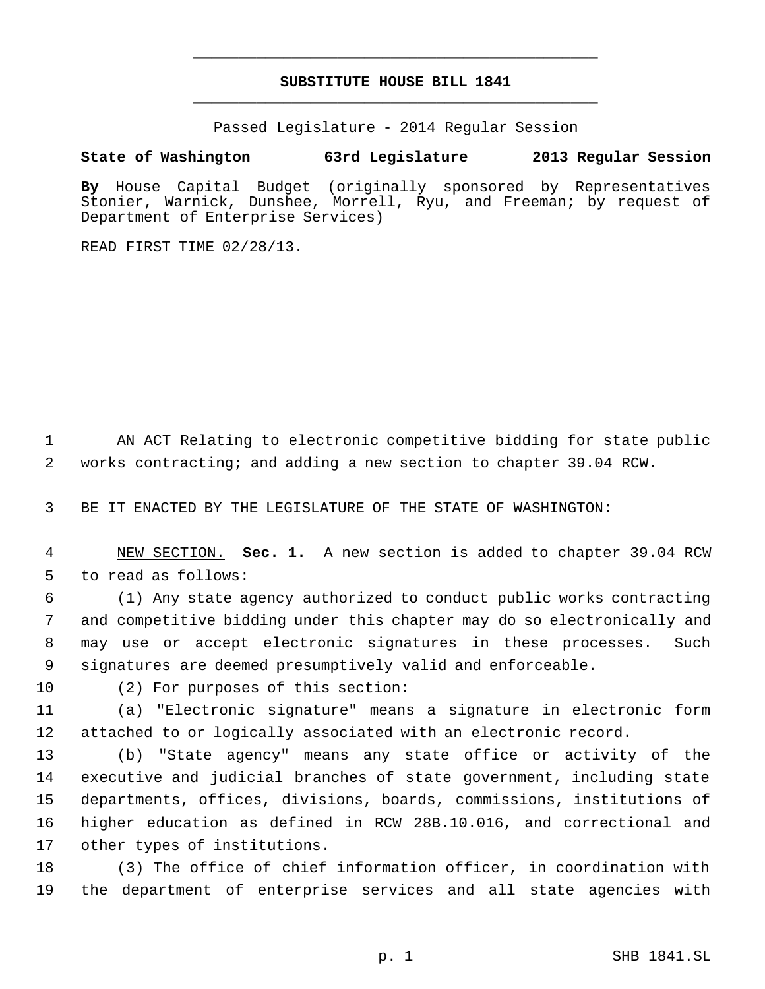# **SUBSTITUTE HOUSE BILL 1841** \_\_\_\_\_\_\_\_\_\_\_\_\_\_\_\_\_\_\_\_\_\_\_\_\_\_\_\_\_\_\_\_\_\_\_\_\_\_\_\_\_\_\_\_\_

\_\_\_\_\_\_\_\_\_\_\_\_\_\_\_\_\_\_\_\_\_\_\_\_\_\_\_\_\_\_\_\_\_\_\_\_\_\_\_\_\_\_\_\_\_

Passed Legislature - 2014 Regular Session

## **State of Washington 63rd Legislature 2013 Regular Session**

**By** House Capital Budget (originally sponsored by Representatives Stonier, Warnick, Dunshee, Morrell, Ryu, and Freeman; by request of Department of Enterprise Services)

READ FIRST TIME 02/28/13.

 AN ACT Relating to electronic competitive bidding for state public works contracting; and adding a new section to chapter 39.04 RCW.

BE IT ENACTED BY THE LEGISLATURE OF THE STATE OF WASHINGTON:

 NEW SECTION. **Sec. 1.** A new section is added to chapter 39.04 RCW to read as follows:

 (1) Any state agency authorized to conduct public works contracting and competitive bidding under this chapter may do so electronically and may use or accept electronic signatures in these processes. Such signatures are deemed presumptively valid and enforceable.

(2) For purposes of this section:

 (a) "Electronic signature" means a signature in electronic form attached to or logically associated with an electronic record.

 (b) "State agency" means any state office or activity of the executive and judicial branches of state government, including state departments, offices, divisions, boards, commissions, institutions of higher education as defined in RCW 28B.10.016, and correctional and other types of institutions.

 (3) The office of chief information officer, in coordination with the department of enterprise services and all state agencies with